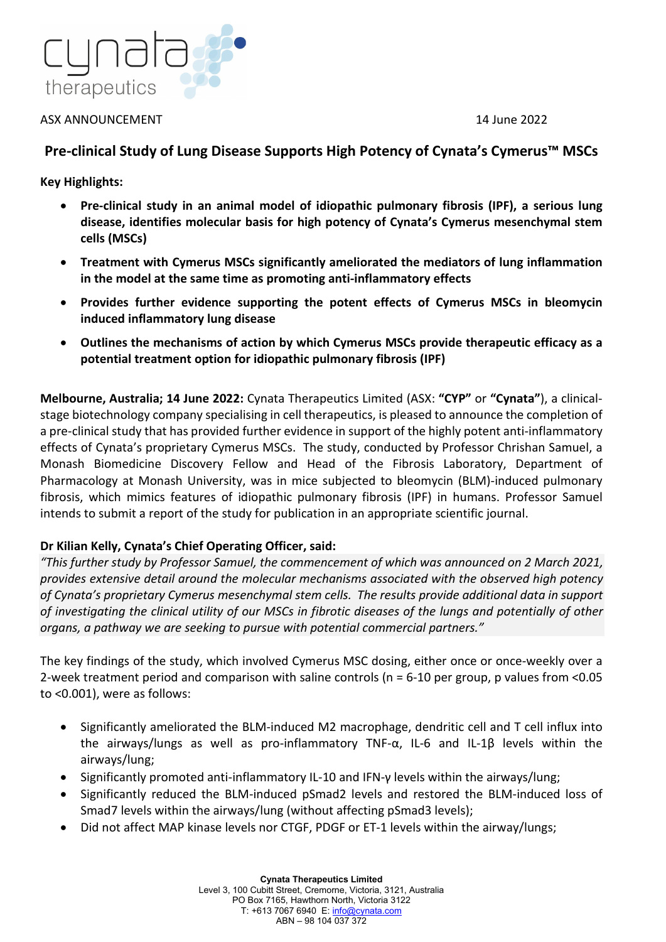

### ASX ANNOUNCEMENT 14 June 2022

# **Pre-clinical Study of Lung Disease Supports High Potency of Cynata's Cymerus™ MSCs**

**Key Highlights:**

- **Pre-clinical study in an animal model of idiopathic pulmonary fibrosis (IPF), a serious lung disease, identifies molecular basis for high potency of Cynata's Cymerus mesenchymal stem cells (MSCs)**
- **Treatment with Cymerus MSCs significantly ameliorated the mediators of lung inflammation in the model at the same time as promoting anti-inflammatory effects**
- **Provides further evidence supporting the potent effects of Cymerus MSCs in bleomycin induced inflammatory lung disease**
- **Outlines the mechanisms of action by which Cymerus MSCs provide therapeutic efficacy as a potential treatment option for idiopathic pulmonary fibrosis (IPF)**

**Melbourne, Australia; 14 June 2022:** Cynata Therapeutics Limited (ASX: **"CYP"** or **"Cynata"**), a clinicalstage biotechnology company specialising in cell therapeutics, is pleased to announce the completion of a pre-clinical study that has provided further evidence in support of the highly potent anti-inflammatory effects of Cynata's proprietary Cymerus MSCs. The study, conducted by Professor Chrishan Samuel, a Monash Biomedicine Discovery Fellow and Head of the Fibrosis Laboratory, Department of Pharmacology at Monash University, was in mice subjected to bleomycin (BLM)-induced pulmonary fibrosis, which mimics features of idiopathic pulmonary fibrosis (IPF) in humans. Professor Samuel intends to submit a report of the study for publication in an appropriate scientific journal.

## **Dr Kilian Kelly, Cynata's Chief Operating Officer, said:**

*"This further study by Professor Samuel, the commencement of which was announced on 2 March 2021, provides extensive detail around the molecular mechanisms associated with the observed high potency of Cynata's proprietary Cymerus mesenchymal stem cells. The results provide additional data in support of investigating the clinical utility of our MSCs in fibrotic diseases of the lungs and potentially of other organs, a pathway we are seeking to pursue with potential commercial partners."*

The key findings of the study, which involved Cymerus MSC dosing, either once or once-weekly over a 2-week treatment period and comparison with saline controls (n = 6-10 per group, p values from <0.05 to <0.001), were as follows:

- Significantly ameliorated the BLM-induced M2 macrophage, dendritic cell and T cell influx into the airways/lungs as well as pro-inflammatory TNF-α, IL-6 and IL-1β levels within the airways/lung;
- Significantly promoted anti-inflammatory IL-10 and IFN-γ levels within the airways/lung;
- Significantly reduced the BLM-induced pSmad2 levels and restored the BLM-induced loss of Smad7 levels within the airways/lung (without affecting pSmad3 levels);
- Did not affect MAP kinase levels nor CTGF, PDGF or ET-1 levels within the airway/lungs;